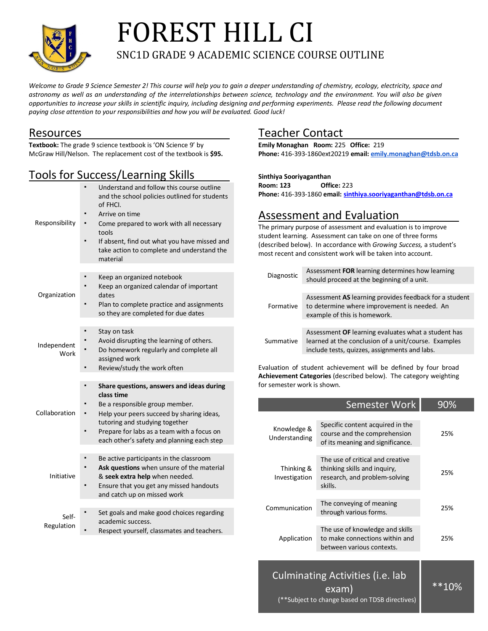

# FOREST HILL CI SNC1D GRADE 9 ACADEMIC SCIENCE COURSE OUTLINE

*Welcome to Grade 9 Science Semester 2! This course will help you to gain a deeper understanding of chemistry, ecology, electricity, space and astronomy as well as an understanding of the interrelationships between science, technology and the environment. You will also be given opportunities to increase your skills in scientific inquiry, including designing and performing experiments. Please read the following document paying close attention to your responsibilities and how you will be evaluated. Good luck!*

### Resources

**Textbook:** The grade 9 science textbook is 'ON Science 9' by McGraw Hill/Nelson. The replacement cost of the textbook is **\$95.** 

## Tools for Success/Learning Skills

| Responsibility      | Understand and follow this course outline<br>and the school policies outlined for students<br>of FHCI.<br>Arrive on time<br>Come prepared to work with all necessary<br>tools<br>If absent, find out what you have missed and<br>take action to complete and understand the<br>material |
|---------------------|-----------------------------------------------------------------------------------------------------------------------------------------------------------------------------------------------------------------------------------------------------------------------------------------|
| Organization        | Keep an organized notebook<br>Keep an organized calendar of important<br>dates<br>Plan to complete practice and assignments<br>so they are completed for due dates                                                                                                                      |
| Independent<br>Work | ٠<br>Stay on task<br>Avoid disrupting the learning of others.<br>Do homework regularly and complete all<br>assigned work<br>Review/study the work often                                                                                                                                 |
|                     |                                                                                                                                                                                                                                                                                         |
| Collaboration       | ٠<br>Share questions, answers and ideas during<br>class time<br>Be a responsible group member.<br>Help your peers succeed by sharing ideas,<br>tutoring and studying together<br>Prepare for labs as a team with a focus on<br>each other's safety and planning each step               |
|                     |                                                                                                                                                                                                                                                                                         |
| Initiative          | Be active participants in the classroom<br>Ask questions when unsure of the material<br>& seek extra help when needed.<br>Ensure that you get any missed handouts<br>and catch up on missed work                                                                                        |
| Self-<br>Regulation | Set goals and make good choices regarding<br>academic success.<br>Respect yourself, classmates and teachers.                                                                                                                                                                            |

# Teacher Contact

**Emily Monaghan Room:** 225 **Office:** 219 **Phone:** 416-393-1860ext20219 **email: emily.monaghan@tdsb.on.ca**

#### **Sinthiya Sooriyaganthan**

**Room: 123 Office:** 223 **Phone:** 416-393-1860 **email: sinthiya.sooriyaganthan@tdsb.on.ca**

## Assessment and Evaluation

The primary purpose of assessment and evaluation is to improve student learning. Assessment can take on one of three forms (described below). In accordance with *Growing Success,* a student's most recent and consistent work will be taken into account.

| Diagnostic | Assessment FOR learning determines how learning<br>should proceed at the beginning of a unit.                                                                |
|------------|--------------------------------------------------------------------------------------------------------------------------------------------------------------|
|            |                                                                                                                                                              |
| Formative  | Assessment AS learning provides feedback for a student<br>to determine where improvement is needed. An<br>example of this is homework.                       |
|            |                                                                                                                                                              |
| Summative  | Assessment OF learning evaluates what a student has<br>learned at the conclusion of a unit/course. Examples<br>include tests, quizzes, assignments and labs. |

Evaluation of student achievement will be defined by four broad **Achievement Categories** (described below). The category weighting for semester work is shown.

|                              | <b>Semester Work</b>                                                                                         | 90% |
|------------------------------|--------------------------------------------------------------------------------------------------------------|-----|
| Knowledge &<br>Understanding | Specific content acquired in the<br>course and the comprehension<br>of its meaning and significance.         | 25% |
| Thinking &<br>Investigation  | The use of critical and creative<br>thinking skills and inquiry,<br>research, and problem-solving<br>skills. | 25% |
| Communication                | The conveying of meaning<br>through various forms.                                                           | 25% |
| Application                  | The use of knowledge and skills<br>to make connections within and<br>between various contexts.               | 25% |
|                              |                                                                                                              |     |

Culminating Activities (i.e. lab exam)

 $*$  $*$ 10%

(\*\*Subject to change based on TDSB directives)